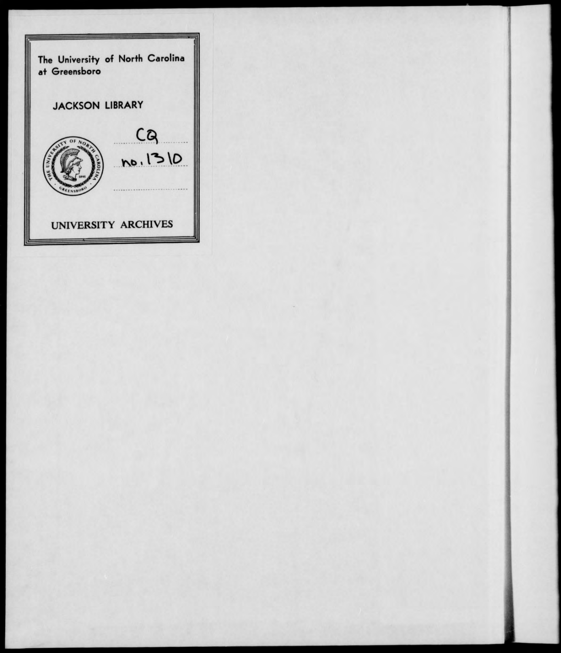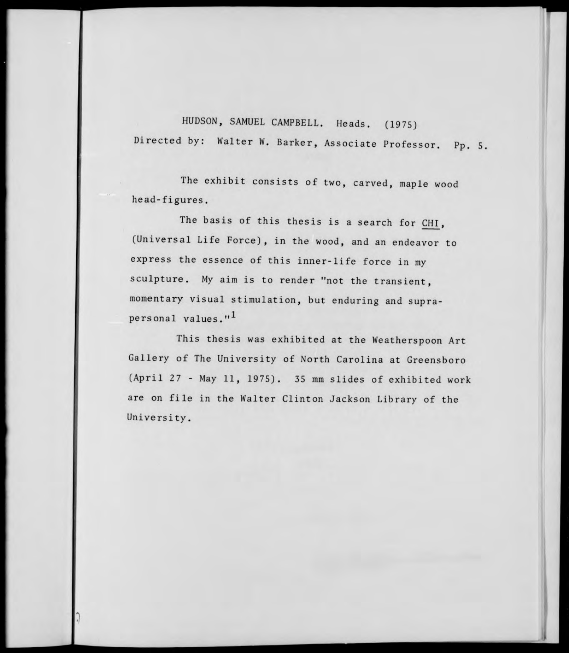HUDSON, SAMUEL CAMPBELL. Heads. (1975) Directed by: Walter W. Barker, Associate Professor. Pp. 5,

The exhibit consists of two, carved, maple wood head-figures.

The basis of this thesis is a search for CHI, (Universal Life Force), in the wood, and an endeavor to express the essence of this inner-life force in my sculpture. My **aim** is to render "not the transient, momentary visual stimulation, but enduring and suprapersonal values."<sup>1</sup>

This thesis was exhibited at the Weatherspoon Art Gallery of The University of North Carolina at Greensboro (April 27 - May 11, 1975). 35 mm slides of exhibited work are on file in the Walter Clinton Jackson Library of the University.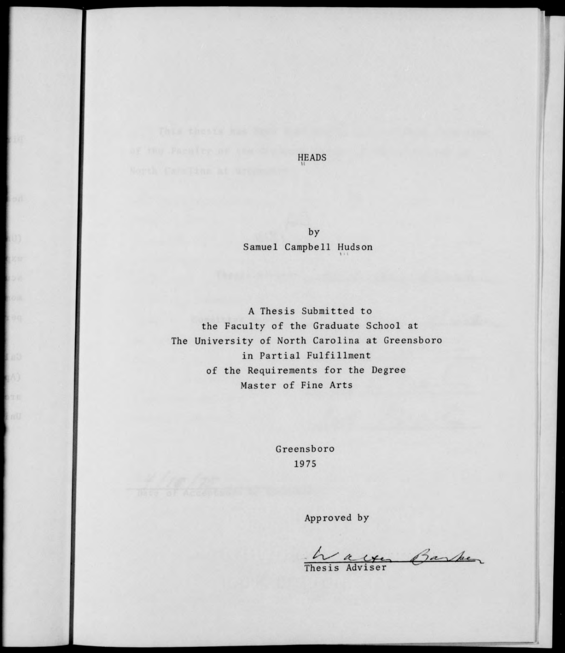**HEADS** 

by Samuel Campbell Hudson

A Thesis Submitted to the Faculty of the Graduate School at The University of North Carolina at Greensboro in Partial Fulfillment of the Requirements for the Degree Master of Fine Arts

> Greensboro 1975

> > Approved by

*K" A- U&a\* ,"* -^.^ *<sup>e</sup> -\* Thesis Adviser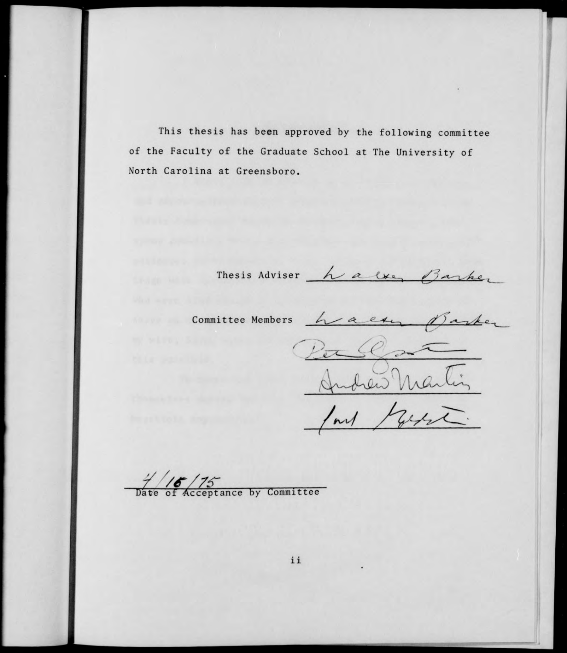This thesis has been approved by the following committee of the Faculty of the Graduate School at The University of North Carolina at Greensboro.

Thesis Adviser <u>halve, Barker</u>

Committee Members <u>have a committee</u> Parlementis

**A** *y /f/7s-*Date of Acceptance by Committee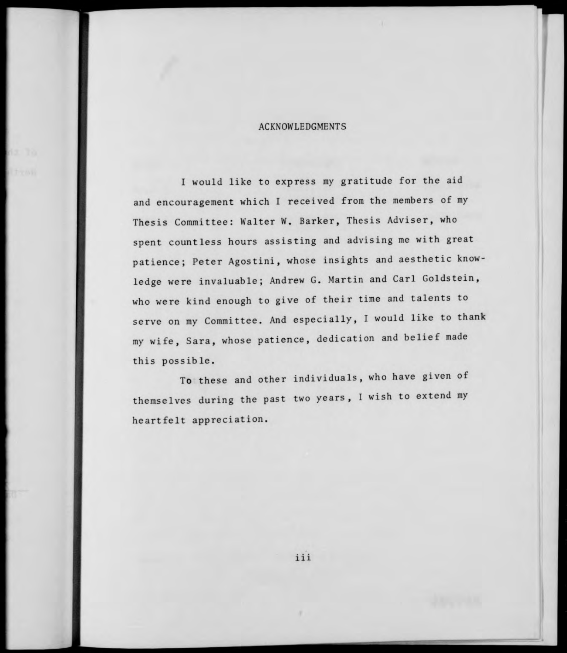## ACKNOWLEDGMENTS

I would like to express my gratitude for the aid and encouragement which I received from the members of my Thesis Committee: Walter W. Barker, Thesis Adviser, who spent countless hours assisting and advising me with great patience; Peter Agostini, whose insights and aesthetic knowledge were invaluable; Andrew G. Martin and Carl Goldstein, who were kind enough to give of their time and talents to serve on my Committee. And especially, I would like to thank my wife, Sara, whose patience, dedication and belief made this possible.

To these and other individuals, who have given of themselves during the past two years, <sup>I</sup> wish to extend my heartfelt appreciation.

iii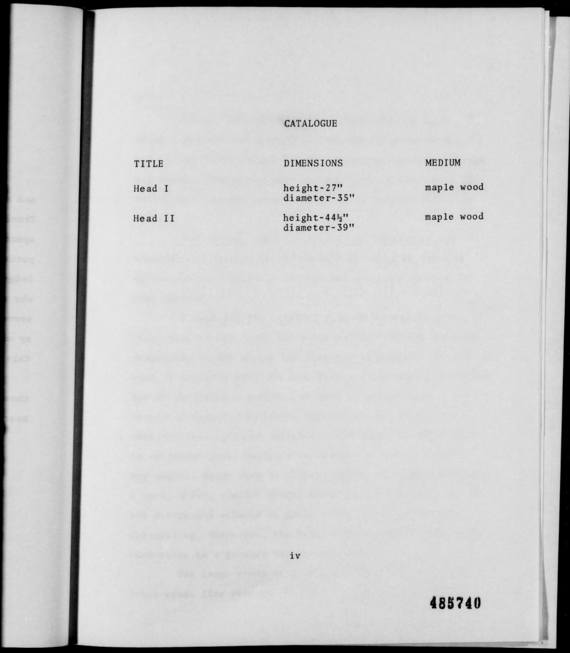## CATALOGUE

| TITLE   | <b>DIMENSIONS</b>                         | MEDIUM     |
|---------|-------------------------------------------|------------|
| Head I  | height-27"<br>diameter-35"                | maple wood |
| Head II | height- $44\frac{1}{2}$ "<br>diameter-39" | maple wood |

**485740**

**I**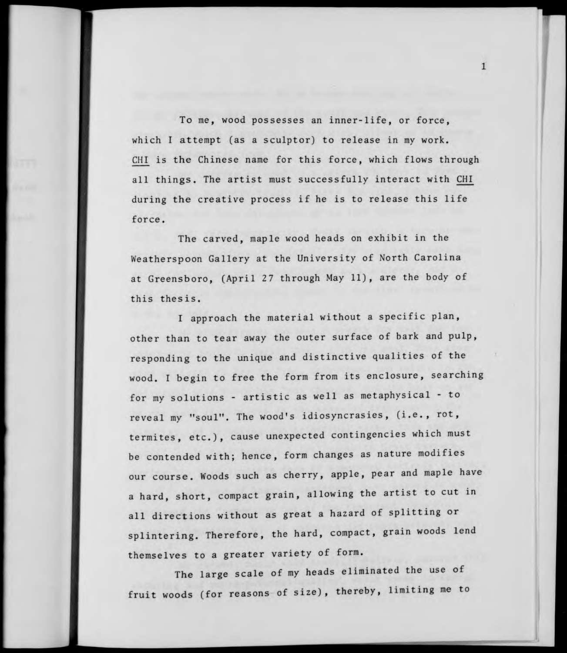To me, wood possesses an inner-life, or force, which I attempt (as a sculptor) to release in my work. CHI is the Chinese name for this force, which flows through all things. The artist must successfully interact with CHI during the creative process if he is to release this life force.

 $\mathbf{1}$ 

The carved, maple wood heads on exhibit in the Weatherspoon Gallery at the University of North Carolina at Greensboro, (April 27 through May 11), are the body of this thesis.

I approach the material without a specific plan, other than to tear away the outer surface of bark and pulp, responding to the unique and distinctive qualities of the wood. I begin to free the form from its enclosure, searching for my solutions - artistic as well as metaphysical - to reveal my "soul". The wood's idiosyncrasies, (i.e., rot, termites, etc.), cause unexpected contingencies which must be contended with; hence, form changes as nature modifies our course. Woods such as cherry, apple, pear and maple have <sup>a</sup> hard, short, compact grain, allowing the artist to cut in all directions without as great a hazard of splitting or splintering. Therefore, the hard, compact, grain woods lend themselves to a greater variety of form.

The large scale of my heads eliminated the use of fruit woods (for reasons of size), thereby, limiting me to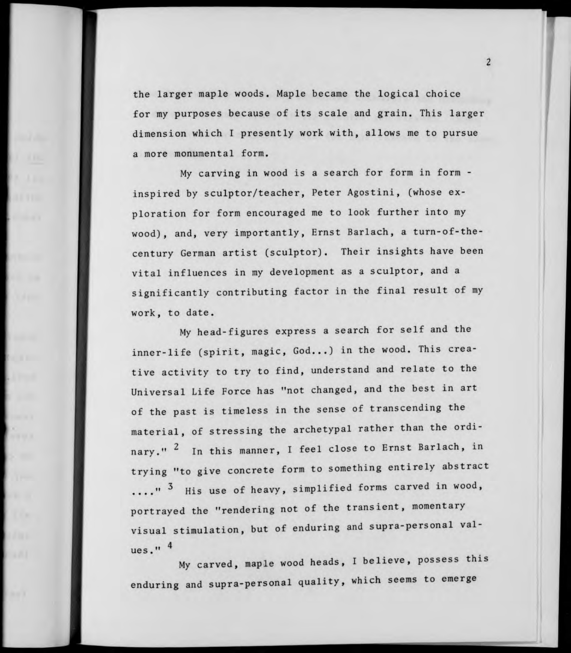the larger maple woods. Maple became the logical choice for my purposes because of its scale and grain. This larger dimension which I presently work with, allows me to pursue a more monumental form.

My carving in wood is a search for form in form inspired by sculptor/teacher, Peter Agostini, (whose exploration for form encouraged me to look further into my wood), and, very importantly, Ernst Barlach, a turn-of-thecentury German artist (sculptor). Their insights have been vital influences in my development as a sculptor, and <sup>a</sup> significantly contributing factor in the final result of my work, to date.

My head-figures express a search for self and the inner-life (spirit, magic, God...) in the wood. This creative activity to try to find, understand and relate to the Universal Life Force has "not changed, and the best in art of the past is timeless in the sense of transcending the material, of stressing the archetypal rather than the ordinary." <sup>2</sup> In this manner, I feel close to Ernst Barlach, in trying "to give concrete form to something entirely abstract ."<sup>3</sup> His use of heavy, simplified forms carved in wood portrayed the "rendering not of the transient, momentary visual stimulation, but of enduring and supra-personal values." 4

My carved, maple wood heads, I believe, possess this enduring and supra-personal quality, which seems to emerge

 $\overline{2}$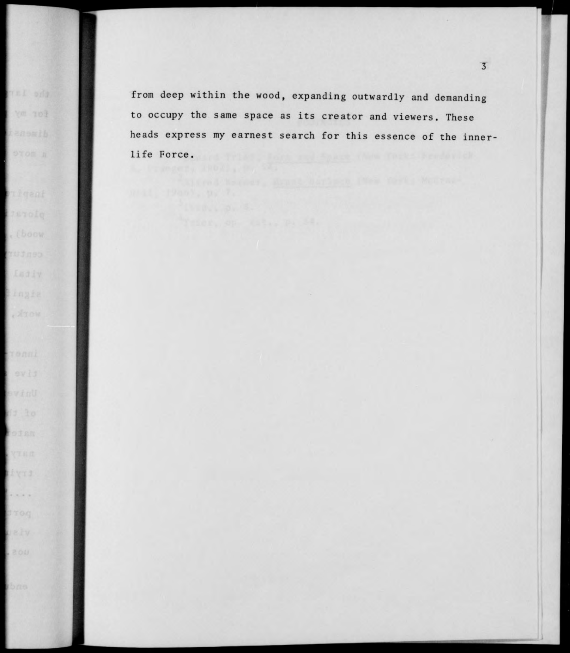from deep within the wood, expanding outwardly and demanding to occupy the same space as its creator and viewers. These heads express my earnest search for this essence of the innerlife Force.

nel eda

Ym 101

(bocw)

. Arow

ofem

tryi

. . . .

bne.

**3**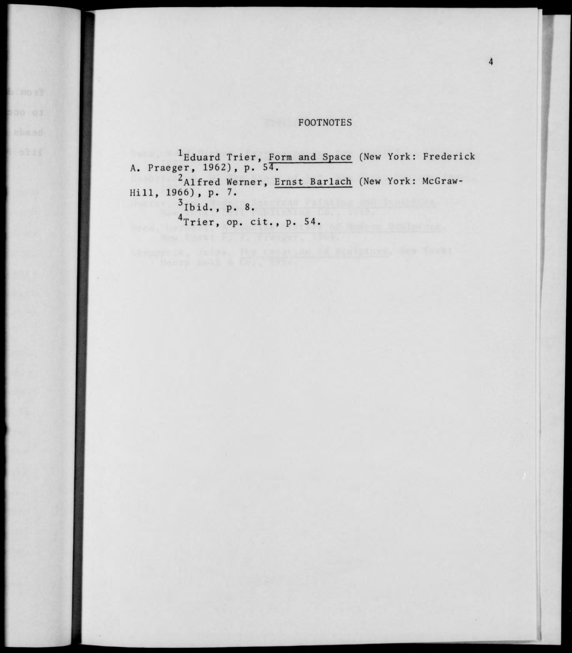## **FOOTNOTES**

Eduard Trier, Form and Space (New York: Frederick A. Praeger, 1962), p. *ST.* Alfred Werner, **Ernst Barlach** (New York: McGraw-Hill, 1966), p. 7.  $3$ Ibid., p. 8.  $4$ Trier, op. cit., p. 54.